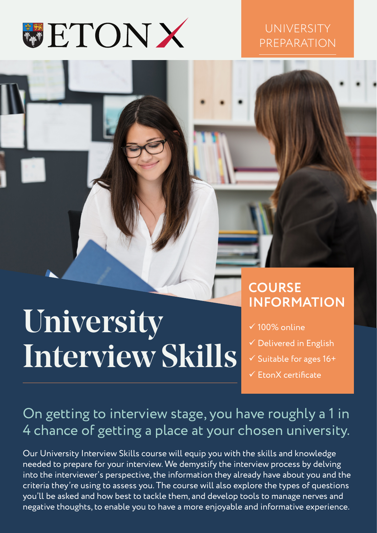

### **UNIVERSITY** PREPARATION

# University Interview Skills

## **COURSE INFORMATION**

- $\times$  100% online
- $\checkmark$  Delivered in English
- $\checkmark$  Suitable for ages 16+
- $\checkmark$  FronX certificate

## On getting to interview stage, you have roughly a 1 in 4 chance of getting a place at your chosen university.

Our University Interview Skills course will equip you with the skills and knowledge needed to prepare for your interview. We demystify the interview process by delving into the interviewer's perspective, the information they already have about you and the criteria they're using to assess you. The course will also explore the types of questions you'll be asked and how best to tackle them, and develop tools to manage nerves and negative thoughts, to enable you to have a more enjoyable and informative experience.